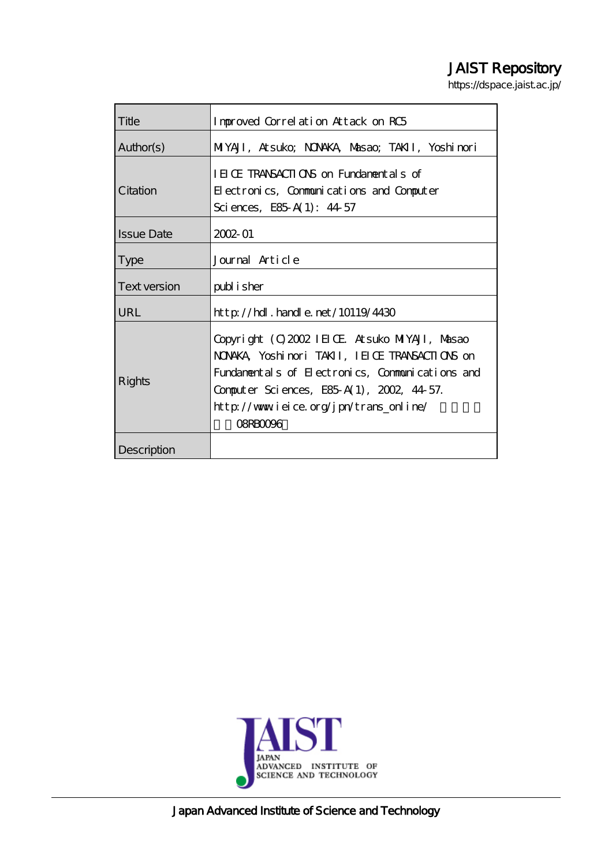# JAIST Repository

https://dspace.jaist.ac.jp/

| Title             | Improved Correlation Attack on RC5                                                                                                                                                                                                                          |
|-------------------|-------------------------------------------------------------------------------------------------------------------------------------------------------------------------------------------------------------------------------------------------------------|
| Author(s)         | MIYAJI, Atsuko; NONAKA, Masao; TAKII, Yoshimori                                                                                                                                                                                                             |
| Citation          | IEICE TRANSACTIONS on Fundamentals of<br>Electronics, Communications and Computer<br>Sciences, E85 A(1): $44\,57$                                                                                                                                           |
| <b>Issue Date</b> | $2002 - 01$                                                                                                                                                                                                                                                 |
| <b>Type</b>       | Journal Article                                                                                                                                                                                                                                             |
| Text version      | publisher                                                                                                                                                                                                                                                   |
| URL               | $\frac{\text{http}}{\text{1019/4430}}$ . $\frac{\text{hpt}}{\text{10119/4430}}$                                                                                                                                                                             |
| Rights            | Copyright (C) 2002 IEIOE At suko MIYAJI, Masao<br>NONKA Yoshinori TAKII, IEIOE TRANSACTIONS on<br>Fundamentals of Electronics, Communications and<br>Computer Sciences, E85 A(1), 2002, 44 57.<br>http://www.ieice.org/jpn/trans_online/<br><b>OSRBOO96</b> |
| Description       |                                                                                                                                                                                                                                                             |



Japan Advanced Institute of Science and Technology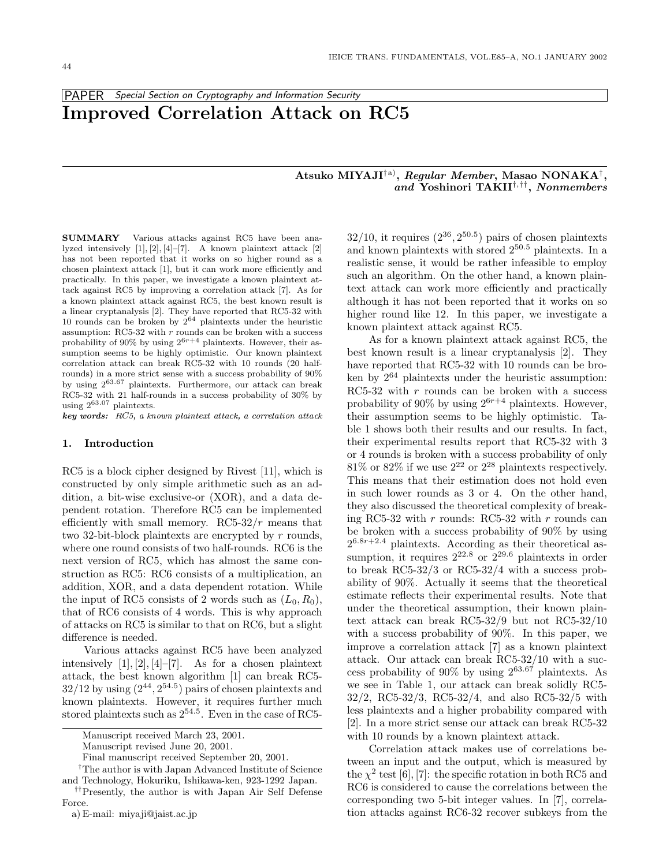## PAPER Special Section on Cryptography and Information Security **Improved Correlation Attack on RC5**

## **Atsuko MIYAJI**†a)**,** *Regular Member***, Masao NONAKA**†**,** *and* **Yoshinori TAKII**†,††**,** *Nonmembers*

**SUMMARY** Various attacks against RC5 have been analyzed intensively [1], [2], [4]–[7]. A known plaintext attack [2] has not been reported that it works on so higher round as a chosen plaintext attack [1], but it can work more efficiently and practically. In this paper, we investigate a known plaintext attack against RC5 by improving a correlation attack [7]. As for a known plaintext attack against RC5, the best known result is a linear cryptanalysis [2]. They have reported that RC5-32 with 10 rounds can be broken by  $2^{64}$  plaintexts under the heuristic assumption: RC5-32 with  $r$  rounds can be broken with a success probability of 90% by using  $2^{6r+4}$  plaintexts. However, their assumption seems to be highly optimistic. Our known plaintext correlation attack can break RC5-32 with 10 rounds (20 halfrounds) in a more strict sense with a success probability of 90% by using 263.<sup>67</sup> plaintexts. Furthermore, our attack can break RC5-32 with 21 half-rounds in a success probability of 30% by using  $2^{63.07}$  plaintexts.

*key words:* RC5, <sup>a</sup> known plaintext attack, <sup>a</sup> correlation attack

#### **1. Introduction**

RC5 is a block cipher designed by Rivest [11], which is constructed by only simple arithmetic such as an addition, a bit-wise exclusive-or (XOR), and a data dependent rotation. Therefore RC5 can be implemented efficiently with small memory.  $RC5-32/r$  means that two 32-bit-block plaintexts are encrypted by  $r$  rounds, where one round consists of two half-rounds. RC6 is the next version of RC5, which has almost the same construction as RC5: RC6 consists of a multiplication, an addition, XOR, and a data dependent rotation. While the input of RC5 consists of 2 words such as  $(L_0, R_0)$ , that of RC6 consists of 4 words. This is why approach of attacks on RC5 is similar to that on RC6, but a slight difference is needed.

Various attacks against RC5 have been analyzed intensively  $[1], [2], [4]$ – $[7]$ . As for a chosen plaintext attack, the best known algorithm [1] can break RC5-  $32/12$  by using  $(2^{44}, 2^{54.5})$  pairs of chosen plaintexts and known plaintexts. However, it requires further much stored plaintexts such as  $2^{54.5}$ . Even in the case of RC5-

a) E-mail: miyaji@jaist.ac.jp

 $32/10$ , it requires  $(2^{36}, 2^{50.5})$  pairs of chosen plaintexts and known plaintexts with stored  $2^{50.5}$  plaintexts. In a realistic sense, it would be rather infeasible to employ such an algorithm. On the other hand, a known plaintext attack can work more efficiently and practically although it has not been reported that it works on so higher round like 12. In this paper, we investigate a known plaintext attack against RC5.

As for a known plaintext attack against RC5, the best known result is a linear cryptanalysis [2]. They have reported that RC5-32 with 10 rounds can be broken by  $2^{64}$  plaintexts under the heuristic assumption: RC5-32 with  $r$  rounds can be broken with a success probability of 90% by using  $2^{6r+4}$  plaintexts. However, their assumption seems to be highly optimistic. Table 1 shows both their results and our results. In fact, their experimental results report that RC5-32 with 3 or 4 rounds is broken with a success probability of only  $81\%$  or  $82\%$  if we use  $2^{22}$  or  $2^{28}$  plaintexts respectively. This means that their estimation does not hold even in such lower rounds as 3 or 4. On the other hand, they also discussed the theoretical complexity of breaking RC5-32 with r rounds: RC5-32 with r rounds can be broken with a success probability of 90% by using  $2^{6.8r+2.4}$  plaintexts. According as their theoretical assumption, it requires  $2^{22.8}$  or  $2^{29.6}$  plaintexts in order to break RC5-32/3 or RC5-32/4 with a success probability of 90%. Actually it seems that the theoretical estimate reflects their experimental results. Note that under the theoretical assumption, their known plaintext attack can break RC5-32/9 but not RC5-32/10 with a success probability of 90%. In this paper, we improve a correlation attack [7] as a known plaintext attack. Our attack can break RC5-32/10 with a success probability of 90% by using  $2^{63.67}$  plaintexts. As we see in Table 1, our attack can break solidly RC5- 32/2, RC5-32/3, RC5-32/4, and also RC5-32/5 with less plaintexts and a higher probability compared with [2]. In a more strict sense our attack can break RC5-32 with 10 rounds by a known plaintext attack.

Correlation attack makes use of correlations between an input and the output, which is measured by the  $\chi^2$  test [6], [7]: the specific rotation in both RC5 and RC6 is considered to cause the correlations between the corresponding two 5-bit integer values. In [7], correlation attacks against RC6-32 recover subkeys from the

Manuscript received March 23, 2001.

Manuscript revised June 20, 2001.

Final manuscript received September 20, 2001.

<sup>&</sup>lt;sup>†</sup>The author is with Japan Advanced Institute of Science and Technology, Hokuriku, Ishikawa-ken, 923-1292 Japan.

<sup>&</sup>lt;sup>††</sup>Presently, the author is with Japan Air Self Defense Force.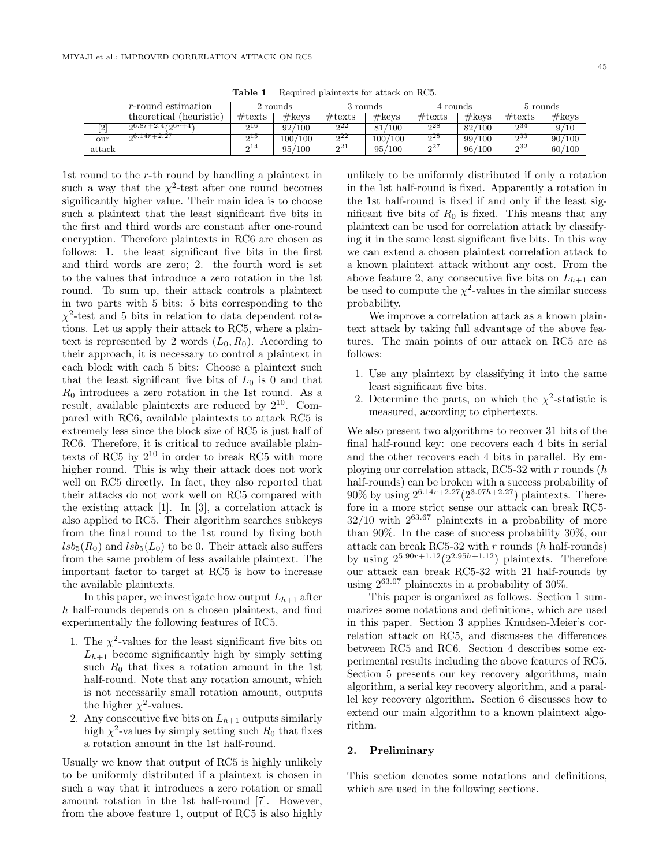|        | <i>r</i> -round estimation   |                  | 2 rounds          |                  | 3 rounds  | 4 rounds         |                 | 5 rounds         |        |
|--------|------------------------------|------------------|-------------------|------------------|-----------|------------------|-----------------|------------------|--------|
|        | (heuristic)<br>theoretical ( | $\#\text{texts}$ | $\#\mathrm{keys}$ | $\#\text{texts}$ | #keys     | $\#\text{texts}$ | $\#\text{keys}$ | $\#\text{texts}$ | #keys  |
| $^{2}$ | $20.8r+2.4(20r+4)$           | 216              | 92/100            | 922              | 81<br>100 | ച28              | 82/100          | 534              | 9/10   |
| our    | $-26.14r+2.27$               | 915              | 100/100           | 22               | 100/100   | $2^{28}$         | 99/100          | $2^{33}$         | 90/100 |
| attack |                              | 214              | 95/<br>/100       | 21               | 95/100    | 27               | 96/100          | 232              | 60/100 |

1st round to the r-th round by handling a plaintext in such a way that the  $\chi^2$ -test after one round becomes significantly higher value. Their main idea is to choose such a plaintext that the least significant five bits in the first and third words are constant after one-round encryption. Therefore plaintexts in RC6 are chosen as follows: 1. the least significant five bits in the first and third words are zero; 2. the fourth word is set to the values that introduce a zero rotation in the 1st round. To sum up, their attack controls a plaintext in two parts with 5 bits: 5 bits corresponding to the  $\chi^2$ -test and 5 bits in relation to data dependent rotations. Let us apply their attack to RC5, where a plaintext is represented by 2 words  $(L_0, R_0)$ . According to their approach, it is necessary to control a plaintext in each block with each 5 bits: Choose a plaintext such that the least significant five bits of  $L_0$  is 0 and that  $R_0$  introduces a zero rotation in the 1st round. As a result, available plaintexts are reduced by  $2^{10}$ . Compared with RC6, available plaintexts to attack RC5 is extremely less since the block size of RC5 is just half of RC6. Therefore, it is critical to reduce available plaintexts of RC5 by  $2^{10}$  in order to break RC5 with more higher round. This is why their attack does not work well on RC5 directly. In fact, they also reported that their attacks do not work well on RC5 compared with the existing attack [1]. In [3], a correlation attack is also applied to RC5. Their algorithm searches subkeys from the final round to the 1st round by fixing both  $lsb_5(R_0)$  and  $lsb_5(L_0)$  to be 0. Their attack also suffers from the same problem of less available plaintext. The important factor to target at RC5 is how to increase the available plaintexts.

In this paper, we investigate how output  $L_{h+1}$  after h half-rounds depends on a chosen plaintext, and find experimentally the following features of RC5.

- 1. The  $\chi^2$ -values for the least significant five bits on  $L_{h+1}$  become significantly high by simply setting such  $R_0$  that fixes a rotation amount in the 1st half-round. Note that any rotation amount, which is not necessarily small rotation amount, outputs the higher  $\chi^2$ -values.
- 2. Any consecutive five bits on  $L_{h+1}$  outputs similarly high  $\chi^2$ -values by simply setting such  $R_0$  that fixes a rotation amount in the 1st half-round.

Usually we know that output of RC5 is highly unlikely to be uniformly distributed if a plaintext is chosen in such a way that it introduces a zero rotation or small amount rotation in the 1st half-round [7]. However, from the above feature 1, output of RC5 is also highly

unlikely to be uniformly distributed if only a rotation in the 1st half-round is fixed. Apparently a rotation in the 1st half-round is fixed if and only if the least significant five bits of  $R_0$  is fixed. This means that any plaintext can be used for correlation attack by classifying it in the same least significant five bits. In this way we can extend a chosen plaintext correlation attack to a known plaintext attack without any cost. From the above feature 2, any consecutive five bits on  $L_{h+1}$  can be used to compute the  $\chi^2$ -values in the similar success probability.

We improve a correlation attack as a known plaintext attack by taking full advantage of the above features. The main points of our attack on RC5 are as follows:

- 1. Use any plaintext by classifying it into the same least significant five bits.
- 2. Determine the parts, on which the  $\chi^2$ -statistic is measured, according to ciphertexts.

We also present two algorithms to recover 31 bits of the final half-round key: one recovers each 4 bits in serial and the other recovers each 4 bits in parallel. By employing our correlation attack, RC5-32 with  $r$  rounds  $(h)$ half-rounds) can be broken with a success probability of 90% by using  $2^{6.14r+2.27}(2^{3.07h+2.27})$  plaintexts. Therefore in a more strict sense our attack can break RC5-  $32/10$  with  $2^{63.67}$  plaintexts in a probability of more than 90%. In the case of success probability 30%, our attack can break RC5-32 with  $r$  rounds ( $h$  half-rounds) by using  $2^{5.90r+1.12}(2^{2.95h+1.12})$  plaintexts. Therefore our attack can break RC5-32 with 21 half-rounds by using  $2^{63.07}$  plaintexts in a probability of  $30\%$ .

This paper is organized as follows. Section 1 summarizes some notations and definitions, which are used in this paper. Section 3 applies Knudsen-Meier's correlation attack on RC5, and discusses the differences between RC5 and RC6. Section 4 describes some experimental results including the above features of RC5. Section 5 presents our key recovery algorithms, main algorithm, a serial key recovery algorithm, and a parallel key recovery algorithm. Section 6 discusses how to extend our main algorithm to a known plaintext algorithm.

## **2. Preliminary**

This section denotes some notations and definitions, which are used in the following sections.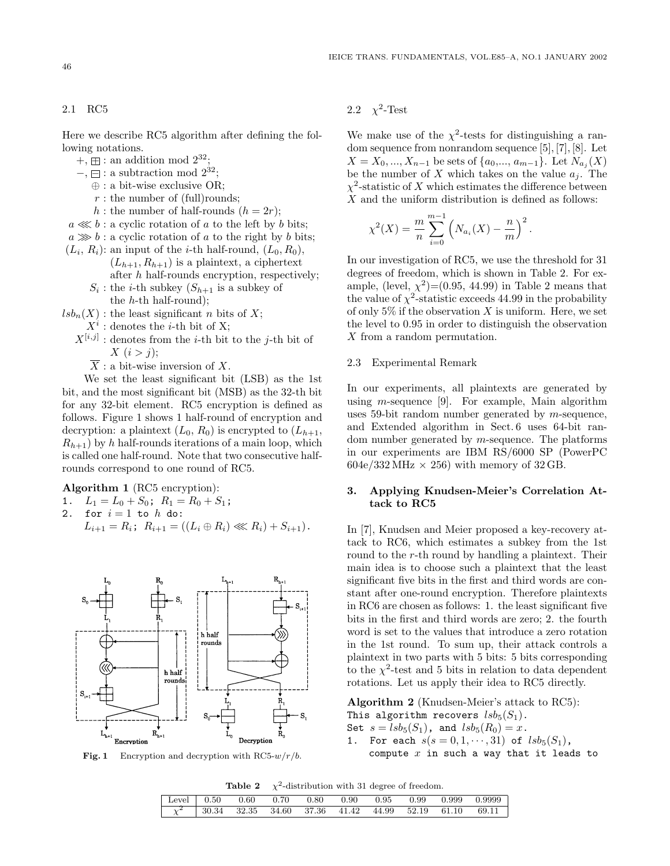2.1 RC5

Here we describe RC5 algorithm after defining the following notations.

- $+$ ,  $\boxplus$  : an addition mod  $2^{32}$ ;
- $-$ ,  $\Box$ : a subtraction mod  $2^{32}$ ;
	- ⊕ : a bit-wise exclusive OR;
	- $r:$  the number of (full)rounds;
	- h : the number of half-rounds  $(h = 2r)$ ;
- $a \lll b$  : a cyclic rotation of a to the left by b bits;  $a \gg b$ : a cyclic rotation of a to the right by b bits;
- $(L_i, R_i)$ : an input of the *i*-th half-round,  $(L_0, R_0)$ ,  $(L_{h+1}, R_{h+1})$  is a plaintext, a ciphertext after h half-rounds encryption, respectively;  $S_i$ : the *i*-th subkey  $(S_{h+1}$  is a subkey of
	- the  $h$ -th half-round);
- $lsb_n(X)$ : the least significant *n* bits of X;
	- $X^i$ : denotes the *i*-th bit of X;
	- $X^{[i,j]}$ : denotes from the *i*-th bit to the *j*-th bit of  $X(i>j);$ 
		- $\overline{X}$ : a bit-wise inversion of X.

We set the least significant bit (LSB) as the 1st bit, and the most significant bit (MSB) as the 32-th bit for any 32-bit element. RC5 encryption is defined as follows. Figure 1 shows 1 half-round of encryption and decryption: a plaintext  $(L_0, R_0)$  is encrypted to  $(L_{h+1},$  $R_{h+1}$ ) by h half-rounds iterations of a main loop, which is called one half-round. Note that two consecutive halfrounds correspond to one round of RC5.

**Algorithm 1** (RC5 encryption):

- 1.  $L_1 = L_0 + S_0$ ;  $R_1 = R_0 + S_1$ ;
- 2. for  $i = 1$  to  $h$  do:  $L_{i+1} = R_i$ ;  $R_{i+1} = ((L_i \oplus R_i) \ll R_i) + S_{i+1}).$



**Fig. 1** Encryption and decryption with  $RC5-w/r/b$ .

2.2  $\chi^2$ -Test

We make use of the  $\chi^2$ -tests for distinguishing a random sequence from nonrandom sequence [5], [7], [8]. Let  $X = X_0, ..., X_{n-1}$  be sets of  $\{a_0, ..., a_{m-1}\}$ . Let  $N_{a_j}(X)$ be the number of X which takes on the value  $a_j$ . The  $\chi^2$ -statistic of X which estimates the difference between  $X$  and the uniform distribution is defined as follows:

$$
\chi^{2}(X) = \frac{m}{n} \sum_{i=0}^{m-1} \left( N_{a_{i}}(X) - \frac{n}{m} \right)^{2}.
$$

In our investigation of RC5, we use the threshold for 31 degrees of freedom, which is shown in Table 2. For example, (level,  $\chi^2$ )=(0.95, 44.99) in Table 2 means that the value of  $\chi^2$ -statistic exceeds 44.99 in the probability of only  $5\%$  if the observation X is uniform. Here, we set the level to 0.95 in order to distinguish the observation X from a random permutation.

#### 2.3 Experimental Remark

In our experiments, all plaintexts are generated by using *m*-sequence [9]. For example, Main algorithm uses 59-bit random number generated by  $m$ -sequence, and Extended algorithm in Sect. 6 uses 64-bit random number generated by  $m$ -sequence. The platforms in our experiments are IBM RS/6000 SP (PowerPC  $604e/332 MHz \times 256$ ) with memory of 32 GB.

## **3. Applying Knudsen-Meier's Correlation Attack to RC5**

In [7], Knudsen and Meier proposed a key-recovery attack to RC6, which estimates a subkey from the 1st round to the r-th round by handling a plaintext. Their main idea is to choose such a plaintext that the least significant five bits in the first and third words are constant after one-round encryption. Therefore plaintexts in RC6 are chosen as follows: 1. the least significant five bits in the first and third words are zero; 2. the fourth word is set to the values that introduce a zero rotation in the 1st round. To sum up, their attack controls a plaintext in two parts with 5 bits: 5 bits corresponding to the  $\chi^2$ -test and 5 bits in relation to data dependent rotations. Let us apply their idea to RC5 directly.

**Algorithm 2** (Knudsen-Meier's attack to RC5):

This algorithm recovers  $lsb_5(S_1)$ .

Set  $s = lsb<sub>5</sub>(S<sub>1</sub>)$ , and  $lsb<sub>5</sub>(R<sub>0</sub>) = x$ .

1. For each  $s(s = 0, 1, \dots, 31)$  of  $lsb_5(S_1)$ , compute  $x$  in such a way that it leads to

**Table 2**  $\chi^2$ -distribution with 31 degree of freedom.

| $Level \t 0.50$ | $0.60$ $0.70$                               | 0.80 | 0.90 | 0.95  | 0.99        | 0.999 | 0.9999 |
|-----------------|---------------------------------------------|------|------|-------|-------------|-------|--------|
| $\chi^2$        | $\frac{1}{2}$ 30.34 32.35 34.60 37.36 41.42 |      |      | 44.99 | 52.19 61.10 |       | 69.11  |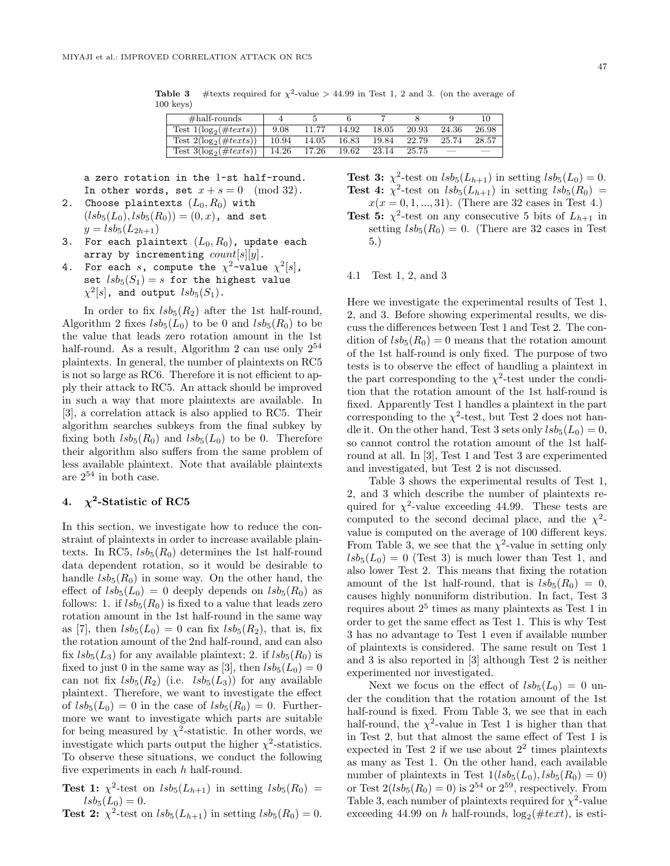**Table 3** #texts required for  $\chi^2$ -value > 44.99 in Test 1, 2 and 3. (on the average of 100 keys)

| $\#half$ -rounds             |       |       |       |       |       |       |       |
|------------------------------|-------|-------|-------|-------|-------|-------|-------|
| Test $1(log_2(\#text{x}ts))$ | 9.08  | 11.77 | 14.92 | 18.05 | 20.93 | 24.36 | 26.98 |
| Test $2(\log_2(\#text)$      | 10.94 | 14.05 | 16.83 | 19.84 | 22.79 | 25.74 | 28.57 |
| Test $3(\log_2(\#text xts))$ | 14.26 | 17.26 | 19.62 | 23.14 | 25.75 |       |       |

a zero rotation in the 1-st half-round. In other words, set  $x + s = 0 \pmod{32}$ .

- 2. Choose plaintexts  $(L_0, R_0)$  with  $({\it lsb}_5({L}_0), {\it lsb}_5({R}_0)) = (0, x)$ , and set  $y = lsb_5(L_{2h+1})$
- 3. For each plaintext  $(L_0, R_0)$ , update each array by incrementing  $count[s][y]$ .
- 4. For each s, compute the  $\chi^2$ -value  $\chi^2[s]$ , set  $lsb_5(S_1) = s$  for the highest value  $\chi^2[s]$ , and output  $lsb_5(S_1)$ .

In order to fix  $lsb_5(R_2)$  after the 1st half-round, Algorithm 2 fixes  $lsb_5(L_0)$  to be 0 and  $lsb_5(R_0)$  to be the value that leads zero rotation amount in the 1st half-round. As a result, Algorithm 2 can use only  $2^{54}$ plaintexts. In general, the number of plaintexts on RC5 is not so large as RC6. Therefore it is not efficient to apply their attack to RC5. An attack should be improved in such a way that more plaintexts are available. In [3], a correlation attack is also applied to RC5. Their algorithm searches subkeys from the final subkey by fixing both  $lsb_5(R_0)$  and  $lsb_5(L_0)$  to be 0. Therefore their algorithm also suffers from the same problem of less available plaintext. Note that available plaintexts are  $2^{54}$  in both case.

## **4.**  $\chi^2$ -Statistic of RC5

In this section, we investigate how to reduce the constraint of plaintexts in order to increase available plaintexts. In RC5,  $lsb_5(R_0)$  determines the 1st half-round data dependent rotation, so it would be desirable to handle  $\text{lsb}_5(R_0)$  in some way. On the other hand, the effect of  $lsb_5(L_0) = 0$  deeply depends on  $lsb_5(R_0)$  as follows: 1. if  $lsb_5(R_0)$  is fixed to a value that leads zero rotation amount in the 1st half-round in the same way as [7], then  $lsb_5(L_0)=0$  can fix  $lsb_5(R_2)$ , that is, fix the rotation amount of the 2nd half-round, and can also fix  $lsb_5(L_3)$  for any available plaintext; 2. if  $lsb_5(R_0)$  is fixed to just 0 in the same way as [3], then  $lsb_5(L_0)=0$ can not fix  $lsb_5(R_2)$  (i.e.  $lsb_5(L_3)$ ) for any available plaintext. Therefore, we want to investigate the effect of  $lsb_5(L_0) = 0$  in the case of  $lsb_5(R_0) = 0$ . Furthermore we want to investigate which parts are suitable for being measured by  $\chi^2$ -statistic. In other words, we investigate which parts output the higher  $\chi^2$ -statistics. To observe these situations, we conduct the following five experiments in each  $h$  half-round.

**Test 1:**  $\chi^2$ -test on  $lsb_5(L_{h+1})$  in setting  $lsb_5(R_0)$  =  $lsb_5(L_0) = 0.$ 

**Test 2:**  $\chi^2$ -test on  $lsb_5(L_{h+1})$  in setting  $lsb_5(R_0) = 0$ .

**Test 3:**  $\chi^2$ -test on  $lsb_5(L_{h+1})$  in setting  $lsb_5(L_0) = 0$ .

**Test 4:**  $\chi^2$ -test on  $lsb_5(L_{h+1})$  in setting  $lsb_5(R_0)$  =  $x(x = 0, 1, ..., 31)$ . (There are 32 cases in Test 4.) **Test 5:**  $\chi^2$ -test on any consecutive 5 bits of  $L_{h+1}$  in setting  $lsb_5(R_0) = 0$ . (There are 32 cases in Test 5.)

#### 4.1 Test 1, 2, and 3

Here we investigate the experimental results of Test 1, 2, and 3. Before showing experimental results, we discuss the differences between Test 1 and Test 2. The condition of  $lsb_5(R_0) = 0$  means that the rotation amount of the 1st half-round is only fixed. The purpose of two tests is to observe the effect of handling a plaintext in the part corresponding to the  $\chi^2$ -test under the condition that the rotation amount of the 1st half-round is fixed. Apparently Test 1 handles a plaintext in the part corresponding to the  $\chi^2$ -test, but Test 2 does not handle it. On the other hand, Test 3 sets only  $lsb_5(L_0) = 0$ , so cannot control the rotation amount of the 1st halfround at all. In [3], Test 1 and Test 3 are experimented and investigated, but Test 2 is not discussed.

Table 3 shows the experimental results of Test 1, 2, and 3 which describe the number of plaintexts required for  $\chi^2$ -value exceeding 44.99. These tests are computed to the second decimal place, and the  $\chi^2$ value is computed on the average of 100 different keys. From Table 3, we see that the  $\chi^2$ -value in setting only  $lsb_5(L_0) = 0$  (Test 3) is much lower than Test 1, and also lower Test 2. This means that fixing the rotation amount of the 1st half-round, that is  $lsb_5(R_0) = 0$ , causes highly nonuniform distribution. In fact, Test 3 requires about  $2<sup>5</sup>$  times as many plaintexts as Test 1 in order to get the same effect as Test 1. This is why Test 3 has no advantage to Test 1 even if available number of plaintexts is considered. The same result on Test 1 and 3 is also reported in [3] although Test 2 is neither experimented nor investigated.

Next we focus on the effect of  $lsb_5(L_0) = 0$  under the condition that the rotation amount of the 1st half-round is fixed. From Table 3, we see that in each half-round, the  $\chi^2$ -value in Test 1 is higher than that in Test 2, but that almost the same effect of Test 1 is expected in Test 2 if we use about  $2^2$  times plaintexts as many as Test 1. On the other hand, each available number of plaintexts in Test  $1(lsb<sub>5</sub>(L<sub>0</sub>), lsb<sub>5</sub>(R<sub>0</sub>) = 0)$ or Test  $2(lsb<sub>5</sub>(R<sub>0</sub>) = 0)$  is  $2<sup>54</sup>$  or  $2<sup>59</sup>$ , respectively. From Table 3, each number of plaintexts required for  $\chi^2$ -value exceeding 44.99 on h half-rounds,  $log_2(\#text)$ , is esti-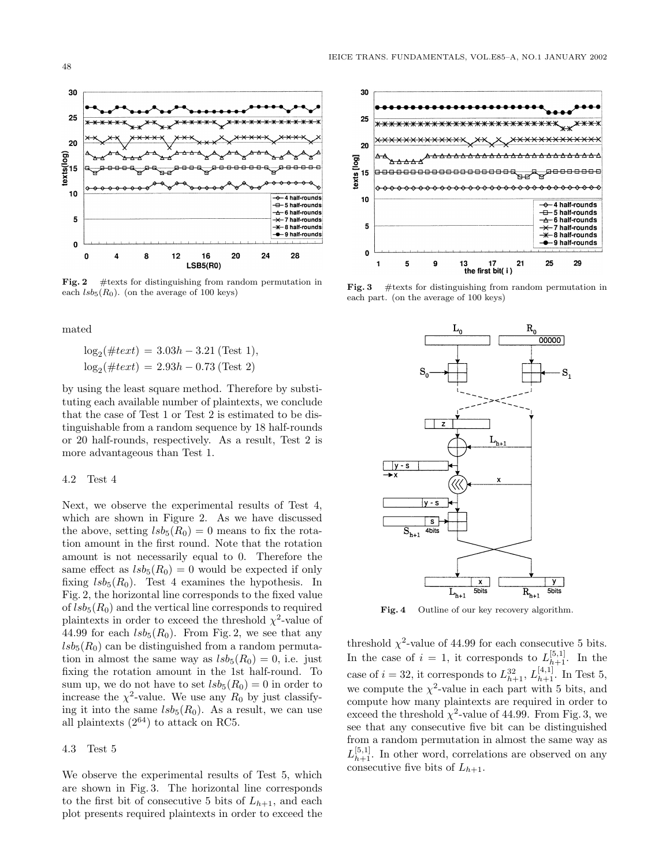

Fig. 2 # texts for distinguishing from random permutation in each  $lsb_5(R_0)$ . (on the average of 100 keys)

mated

$$
log_2(\#text) = 3.03h - 3.21 \text{ (Test 1)},
$$
  

$$
log_2(\#text) = 2.93h - 0.73 \text{ (Test 2)}
$$

by using the least square method. Therefore by substituting each available number of plaintexts, we conclude that the case of Test 1 or Test 2 is estimated to be distinguishable from a random sequence by 18 half-rounds or 20 half-rounds, respectively. As a result, Test 2 is more advantageous than Test 1.

#### 4.2 Test 4

Next, we observe the experimental results of Test 4, which are shown in Figure 2. As we have discussed the above, setting  $lsb_5(R_0) = 0$  means to fix the rotation amount in the first round. Note that the rotation amount is not necessarily equal to 0. Therefore the same effect as  $lsb_5(R_0) = 0$  would be expected if only fixing  $lsb_5(R_0)$ . Test 4 examines the hypothesis. In Fig. 2, the horizontal line corresponds to the fixed value of  $lsb_5(R_0)$  and the vertical line corresponds to required plaintexts in order to exceed the threshold  $\chi^2$ -value of 44.99 for each  $lsb_5(R_0)$ . From Fig. 2, we see that any  $lsb_5(R_0)$  can be distinguished from a random permutation in almost the same way as  $lsb_5(R_0) = 0$ , i.e. just fixing the rotation amount in the 1st half-round. To sum up, we do not have to set  $lsb_5(R_0) = 0$  in order to increase the  $\chi^2$ -value. We use any  $R_0$  by just classifying it into the same  $lsb_5(R_0)$ . As a result, we can use all plaintexts  $(2^{64})$  to attack on RC5.

#### 4.3 Test 5

We observe the experimental results of Test 5, which are shown in Fig. 3. The horizontal line corresponds to the first bit of consecutive 5 bits of  $L_{h+1}$ , and each plot presents required plaintexts in order to exceed the



Fig. 3 # texts for distinguishing from random permutation in each part. (on the average of 100 keys)



**Fig. 4** Outline of our key recovery algorithm.

threshold  $\chi^2$ -value of 44.99 for each consecutive 5 bits. In the case of  $i = 1$ , it corresponds to  $L_{h+1}^{[5,1]}$ . In the case of  $i = 32$ , it corresponds to  $L_{h+1}^{32}$ ,  $L_{h+1}^{[4,1]}$ . In Test 5, we compute the  $\chi^2$ -value in each part with 5 bits, and compute how many plaintexts are required in order to exceed the threshold  $\chi^2$ -value of 44.99. From Fig. 3, we see that any consecutive five bit can be distinguished from a random permutation in almost the same way as  $L_{h+1}^{[5,1]}$ . In other word, correlations are observed on any consecutive five bits of  $L_{h+1}$ .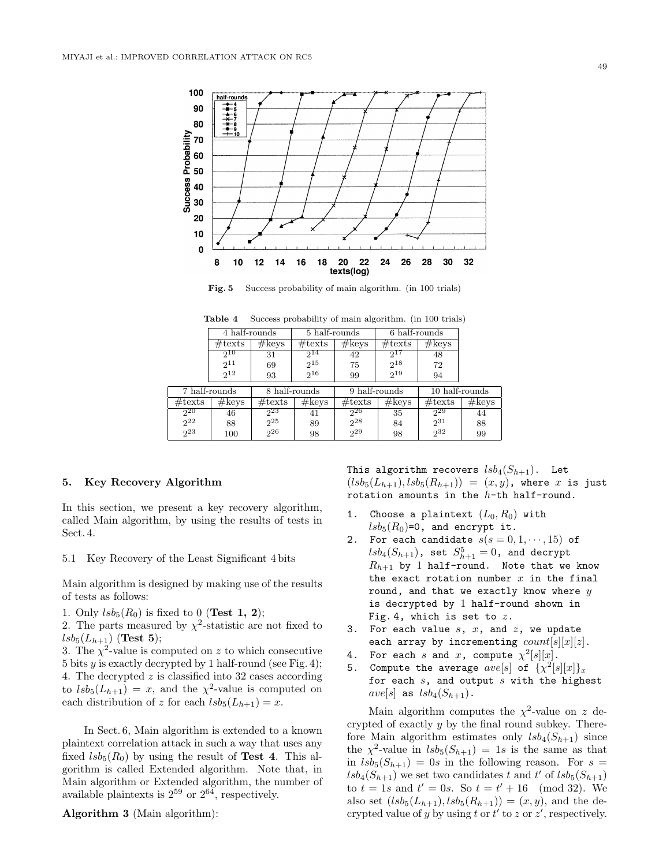

**Fig. 5** Success probability of main algorithm. (in 100 trials)

|                      | 4 half-rounds    |                      | 5 half-rounds    |                      | 6 half-rounds    |                  |                 |
|----------------------|------------------|----------------------|------------------|----------------------|------------------|------------------|-----------------|
|                      | $\#\text{texts}$ | #keys                | $\#\text{texts}$ | #keys                | $\#\text{texts}$ | #keys            |                 |
|                      | $2^{10}$         | 31                   | $2^{14}$         | 42                   | $2^{17}$         | 48               |                 |
|                      | $2^{11}$         | 69                   | $2^{15}$         | 75                   | $2^{18}$         | 72               |                 |
|                      | $2^{12}$         | 93                   | $2^{16}$         | 99                   | $2^{19}$         | 94               |                 |
| 7 half-rounds        |                  |                      |                  |                      |                  |                  |                 |
|                      |                  |                      | 8 half-rounds    |                      | 9 half-rounds    |                  | 10 half-rounds  |
| $\#\text{texts}$     | #keys            | $\#\text{texts}$     | #keys            | $\#\text{texts}$     | $\#\text{keys}$  | $\#\text{texts}$ | $\#\text{keys}$ |
| $2^{20}$             | 46               | 223                  | 41               | 226                  | 35               | $2^{29}$         | 44              |
| $2^{22}$<br>$2^{23}$ | 88               | $2^{25}$<br>$2^{26}$ | 89               | $2^{28}$<br>$2^{29}$ | 84               | $2^{31}$<br>232  | 88              |

**Table 4** Success probability of main algorithm. (in 100 trials)

#### **5. Key Recovery Algorithm**

In this section, we present a key recovery algorithm, called Main algorithm, by using the results of tests in Sect. 4.

5.1 Key Recovery of the Least Significant 4 bits

Main algorithm is designed by making use of the results of tests as follows:

1. Only  $lsb_5(R_0)$  is fixed to 0 (**Test 1, 2**);

2. The parts measured by  $\chi^2$ -statistic are not fixed to  $lsb_5(L_{h+1})$  (**Test 5**);

3. The  $\chi^2$ -value is computed on z to which consecutive 5 bits y is exactly decrypted by 1 half-round (see Fig. 4); 4. The decrypted z is classified into 32 cases according to  $lsb_5(L_{h+1}) = x$ , and the  $\chi^2$ -value is computed on each distribution of z for each  $lsb_5(L_{h+1}) = x$ .

In Sect. 6, Main algorithm is extended to a known plaintext correlation attack in such a way that uses any fixed  $lsb_5(R_0)$  by using the result of **Test 4**. This algorithm is called Extended algorithm. Note that, in Main algorithm or Extended algorithm, the number of available plaintexts is  $2^{59}$  or  $2^{64}$ , respectively.

**Algorithm 3** (Main algorithm):

This algorithm recovers  $lsb_4(S_{h+1})$ . Let  $(lsb_{5}(L_{h+1}), lsb_{5}(R_{h+1})) = (x, y)$ , where x is just rotation amounts in the  $h$ -th half-round.

- 1. Choose a plaintext  $(L_0, R_0)$  with  $lsb_5(R_0)=0$ , and encrypt it.
- 2. For each candidate  $s(s = 0, 1, \dots, 15)$  of  $\mathit{lsb}_4(S_{h+1})$ , set  $S_{h+1}^5=0$ , and decrypt  $R_{h+1}$  by 1 half-round. Note that we know the exact rotation number  $x$  in the final round, and that we exactly know where  $y$ is decrypted by 1 half-round shown in Fig. 4, which is set to  $z$ .
- 3. For each value  $s$ ,  $x$ , and  $z$ , we update each array by incrementing  $count[s][x][z]$ .
- 4. For each s and x, compute  $\chi^2[s][x]$ .
- 5. Compute the average  $ave[s]$  of  $\{\chi^2[s][x]\}_x$ for each  $s$ , and output  $s$  with the highest  $ave[s]$  as  $lsb<sub>4</sub>(S<sub>h+1</sub>)$ .

Main algorithm computes the  $\chi^2$ -value on z decrypted of exactly y by the final round subkey. Therefore Main algorithm estimates only  $lsb_4(S_{h+1})$  since the  $\chi^2$ -value in  $lsb_5(S_{h+1})=1s$  is the same as that in  $lsb_5(S_{h+1})=0s$  in the following reason. For  $s =$  $lsb<sub>4</sub>(S<sub>h+1</sub>)$  we set two candidates t and t' of  $lsb<sub>5</sub>(S<sub>h+1</sub>)$ to  $t = 1s$  and  $t' = 0s$ . So  $t = t' + 16 \pmod{32}$ . We also set  $(lsb_{5}(L_{h+1}), lsb_{5}(R_{h+1})) = (x, y)$ , and the decrypted value of y by using t or  $t'$  to z or  $z'$ , respectively.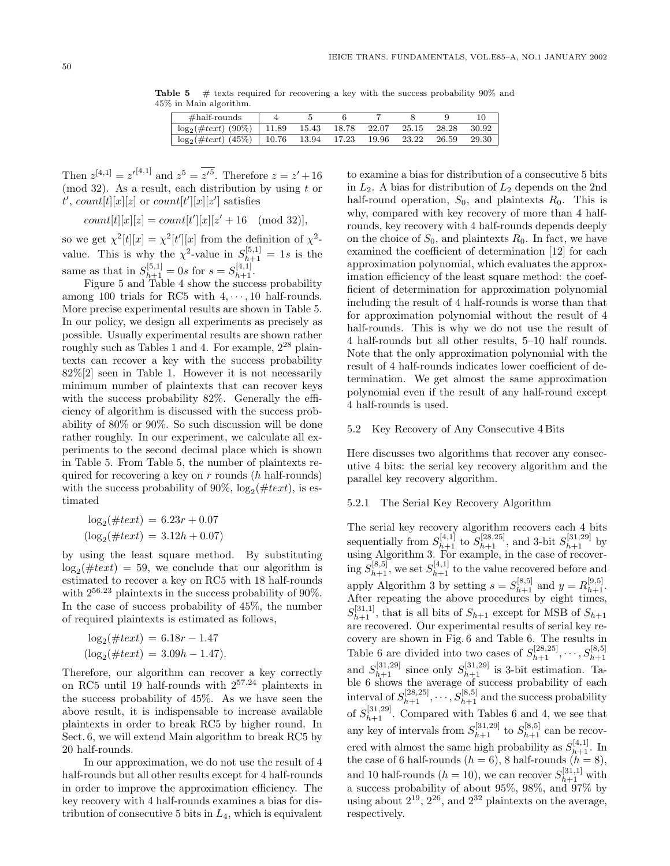**Table 5**  $\#$  texts required for recovering a key with the success probability 90% and 45% in Main algorithm.

| $\#half$ -rounds        |       |       |       |       |       |       |       |
|-------------------------|-------|-------|-------|-------|-------|-------|-------|
| $\log_2(\#text) (90\%)$ | 11.89 | 15.43 | 18.78 | 22.07 | 25.15 | 28.28 | 30.92 |
| $\log_2(\#text) (45\%)$ | 10.76 | 13.94 | 17.23 | 19.96 | 23.22 | 26.59 | 29.30 |

Then  $z^{[4,1]} = z'^{[4,1]}$  and  $z^5 = \overline{z'^5}$ . Therefore  $z = z' + 16$ (mod 32). As a result, each distribution by using  $t$  or  $t'$ ,  $count[t][x][z]$  or  $count[t'][x][z']$  satisfies

$$
count[t][x][z] = count[t'][x][z' + 16 \pmod{32}],
$$

so we get  $\chi^2[t][x] = \chi^2[t'][x]$  from the definition of  $\chi^2$ value. This is why the  $\chi^2$ -value in  $S_{h+1}^{[5,1]} = 1s$  is the same as that in  $S_{h+1}^{[5,1]} = 0$ s for  $s = S_{h+1}^{[4,1]}$ .

Figure 5 and Table 4 show the success probability among 100 trials for RC5 with  $4, \dots, 10$  half-rounds. More precise experimental results are shown in Table 5. In our policy, we design all experiments as precisely as possible. Usually experimental results are shown rather roughly such as Tables 1 and 4. For example,  $2^{28}$  plaintexts can recover a key with the success probability 82%[2] seen in Table 1. However it is not necessarily minimum number of plaintexts that can recover keys with the success probability 82%. Generally the efficiency of algorithm is discussed with the success probability of 80% or 90%. So such discussion will be done rather roughly. In our experiment, we calculate all experiments to the second decimal place which is shown in Table 5. From Table 5, the number of plaintexts required for recovering a key on  $r$  rounds ( $h$  half-rounds) with the success probability of 90%,  $log_2(\#text)$ , is estimated

$$
log_2(\#text) = 6.23r + 0.07
$$
  
(log<sub>2</sub>(#text) = 3.12h + 0.07)

by using the least square method. By substituting  $\log_2(\#text{text}) = 59$ , we conclude that our algorithm is estimated to recover a key on RC5 with 18 half-rounds with  $2^{56.23}$  plaintexts in the success probability of  $90\%$ . In the case of success probability of 45%, the number of required plaintexts is estimated as follows,

$$
log_2(\#text) = 6.18r - 1.47
$$
  
( $log_2(\#text) = 3.09h - 1.47$ ).

Therefore, our algorithm can recover a key correctly on RC5 until 19 half-rounds with 257.<sup>24</sup> plaintexts in the success probability of 45%. As we have seen the above result, it is indispensable to increase available plaintexts in order to break RC5 by higher round. In Sect. 6, we will extend Main algorithm to break RC5 by 20 half-rounds.

In our approximation, we do not use the result of 4 half-rounds but all other results except for 4 half-rounds in order to improve the approximation efficiency. The key recovery with 4 half-rounds examines a bias for distribution of consecutive 5 bits in  $L_4$ , which is equivalent

to examine a bias for distribution of a consecutive 5 bits in  $L_2$ . A bias for distribution of  $L_2$  depends on the 2nd half-round operation,  $S_0$ , and plaintexts  $R_0$ . This is why, compared with key recovery of more than 4 halfrounds, key recovery with 4 half-rounds depends deeply on the choice of  $S_0$ , and plaintexts  $R_0$ . In fact, we have examined the coefficient of determination [12] for each approximation polynomial, which evaluates the approximation efficiency of the least square method: the coefficient of determination for approximation polynomial including the result of 4 half-rounds is worse than that for approximation polynomial without the result of 4 half-rounds. This is why we do not use the result of 4 half-rounds but all other results, 5–10 half rounds. Note that the only approximation polynomial with the result of 4 half-rounds indicates lower coefficient of determination. We get almost the same approximation polynomial even if the result of any half-round except 4 half-rounds is used.

#### 5.2 Key Recovery of Any Consecutive 4 Bits

Here discusses two algorithms that recover any consecutive 4 bits: the serial key recovery algorithm and the parallel key recovery algorithm.

## 5.2.1 The Serial Key Recovery Algorithm

The serial key recovery algorithm recovers each 4 bits sequentially from  $S_{h+1}^{[4,1]}$  to  $S_{h+1}^{[28,25]}$ , and 3-bit  $S_{h+1}^{[31,29]}$  by using Algorithm 3. For example, in the case of recovering  $S_{h+1}^{[8,5]}$ , we set  $S_{h+1}^{[4,1]}$  to the value recovered before and apply Algorithm 3 by setting  $s = S_{h+1}^{[8,5]}$  and  $y = R_{h+1}^{[9,5]}$ . After repeating the above procedures by eight times,  $S_{h+1}^{[31,1]}$ , that is all bits of  $S_{h+1}$  except for MSB of  $S_{h+1}$ are recovered. Our experimental results of serial key recovery are shown in Fig. 6 and Table 6. The results in Table 6 are divided into two cases of  $S_{h+1}^{[28,25]}, \dots, S_{h+1}^{[3,5]}$ <br>and  $S_{h+1}^{[31,29]}$  since only  $S_{h+1}^{[31,29]}$  is 3-bit estimation. Table 6 shows the average of success probability of each interval of  $S_{h+1}^{[28,25]}, \cdots, S_{h+1}^{[8,5]}$  and the success probability of  $S_{h+1}^{[31,29]}$ . Compared with Tables 6 and 4, we see that any key of intervals from  $S_{h+1}^{[31,29]}$  to  $S_{h+1}^{[8,5]}$  can be recovered with almost the same high probability as  $S_{h+1}^{[4,1]}$ . In the case of 6 half-rounds  $(h = 6)$ , 8 half-rounds  $(h = 8)$ , and 10 half-rounds  $(h = 10)$ , we can recover  $S_{h+1}^{[31,1]}$  with a success probability of about 95%, 98%, and 97% by using about  $2^{19}$ ,  $2^{26}$ , and  $2^{32}$  plaintexts on the average, respectively.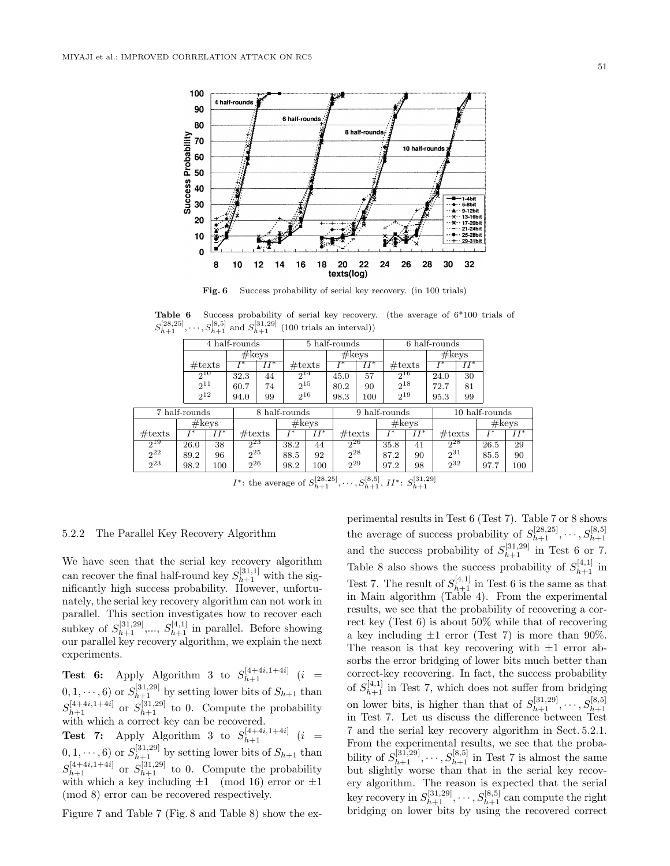

Fig. 6 Success probability of serial key recovery. (in 100 trials)

Success probability of serial key recovery. (the average of  $6*100$  trials of  $S_{h+1}^{[28,25]}, \dots, S_{h+1}^{[8,5]}$  and  $S_{h+1}^{[31,29]}$  (100 trials an interval))

|                  |               | $\overline{4}$ half-rounds |                  |        |                  |               | 5 half-rounds    |        |                  |                   | 6 half-rounds    |        |                |        |
|------------------|---------------|----------------------------|------------------|--------|------------------|---------------|------------------|--------|------------------|-------------------|------------------|--------|----------------|--------|
|                  |               |                            | #keys            |        |                  |               | #keys            |        |                  |                   | #keys            |        |                |        |
|                  |               | $\#\text{texts}$           | r∗               | $II^*$ | $\#\text{texts}$ |               |                  | $II^*$ | $\#\text{texts}$ |                   | T*               | $II^*$ |                |        |
|                  | $2^{10}$      |                            | 32.3             | 44     | $2^{14}$         |               | 45.0             | 57     | $2^{16}$         |                   | 24.0             | 30     |                |        |
|                  | $2^{11}$      |                            | 60.7             | 74     | $2^{15}$         |               | 80.2             | 90     | $2^{18}$         |                   | 72.7             | 81     |                |        |
|                  | $2^{12}$      |                            | 94.0             | 99     | $2^{16}$         |               | 98.3             | 100    | $2^{19}$         |                   | 95.3             | 99     |                |        |
|                  | 7 half-rounds |                            |                  |        |                  | 8 half-rounds |                  |        | 9 half-rounds    |                   |                  |        | 10 half-rounds |        |
|                  |               | #keys                      |                  |        | #keys            |               |                  |        |                  | #keys             |                  |        | #keys          |        |
| $\#\text{texts}$ | $I^*$         | $II^*$                     | $\#\text{texts}$ |        | $\overline{I}^*$ | $II^*$        | $\#\text{texts}$ |        | $I^*$            | $\overline{II}^*$ | $\#\text{texts}$ |        | T*             | $II^*$ |
| $2^{19}$         | 26.0          | 38                         | 223              |        | 38.2             | 44            | $2^{26}$         |        | 35.8             | 41                | 228              |        | 26.5           | 29     |
| $2^{22}$         | 89.2          | 96                         | $2^{25}$         |        | 88.5             | 92            | $2^{28}$         |        | 87.2             | 90                | $2^{31}$         |        | 85.5           | 90     |
| $2^{23}$         | 98.2          | $2^{26}$<br>100            |                  | 98.2   | 100              | $2^{29}$      |                  | 97.2   | 98               | $2^{32}$          |                  | 97.7   | 100            |        |

*I*<sup>\*</sup>: the average of  $S_{h+1}^{[28,25]}, \dots, S_{h+1}^{[8,5]}, H^*$ :  $S_{h+1}^{[31,29]}$ 

#### 5.2.2 The Parallel Key Recovery Algorithm

We have seen that the serial key recovery algorithm can recover the final half-round key  $S_{h+1}^{[31,1]}$  with the significantly high success probability. However, unfortunately, the serial key recovery algorithm can not work in parallel. This section investigates how to recover each subkey of  $S_{h+1}^{[31,29]}, \ldots, S_{h+1}^{[4,1]}$  in parallel. Before showing our parallel key recovery algorithm, we explain the next experiments.

**Test 6:** Apply Algorithm 3 to  $S_{h+1}^{[4+4i,1+4i]}$  (*i* =  $(0, 1, \dots, 6)$  or  $S_{h+1}^{[31,29]}$  by setting lower bits of  $S_{h+1}$  than  $S_{h+1}^{[4+4i,1+4i]}$  or  $S_{h+1}^{[31,29]}$  to 0. Compute the probability with which a correct key can be recovered.

**Test 7:** Apply Algorithm 3 to  $S_{h+1}^{[4+4i,1+4i]}$  (*i* =  $(0, 1, \dots, 6)$  or  $S_{h+1}^{[31,29]}$  by setting lower bits of  $S_{h+1}$  than  $S_{h+1}^{[4+4i,1+4i]}$  or  $S_{h+1}^{[31,29]}$  to 0. Compute the probability with which a key including  $\pm 1 \pmod{16}$  error or  $\pm 1$ (mod 8) error can be recovered respectively.

Figure 7 and Table 7 (Fig. 8 and Table 8) show the ex-

perimental results in Test 6 (Test 7). Table 7 or 8 shows the average of success probability of  $S_{h+1}^{[28,25]}, \dots, S_{h+1}^{[8,5]}$ and the success probability of  $S_{h+1}^{[31,29]}$  in Test 6 or 7. Table 8 also shows the success probability of  $S_{h+1}^{[4,1]}$  in Test 7. The result of  $S_{h+1}^{[4,1]}$  in Test 6 is the same as that in Main algorithm (Table 4). From the experimental results, we see that the probability of recovering a correct key (Test 6) is about 50% while that of recovering a key including  $\pm 1$  error (Test 7) is more than 90%. The reason is that key recovering with  $\pm 1$  error absorbs the error bridging of lower bits much better than correct-key recovering. In fact, the success probability of  $S_{h+1}^{[4,1]}$  in Test 7, which does not suffer from bridging on lower bits, is higher than that of  $S_{h+1}^{[31,29]}, \dots, S_{h+1}^{[8,5]}$ <br>in Test 7. Let us discuss the difference between Test 7 and the serial key recovery algorithm in Sect. 5.2.1. From the experimental results, we see that the probability of  $S_{h+1}^{[31,29]}, \dots, S_{h+1}^{[8,5]}$  in Test 7 is almost the same but slightly worse than that in the serial key recovery algorithm. The reason is expected that the serial key recovery in  $S_{h+1}^{[31,29]}, \cdots, S_{h+1}^{[8,5]}$  can compute the right bridging on lower bits by using the recovered correct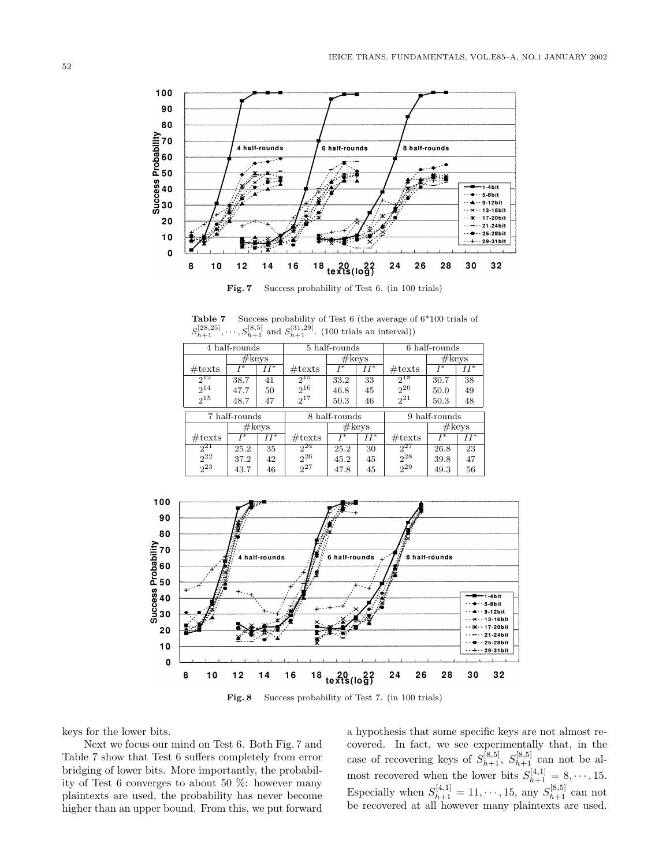

**Fig. 7** Success probability of Test 6. (in 100 trials)

**Table 7** Success probability of Test 6 (the average of 6\*100 trials of  $S_{h+1}^{[28,25]}, \dots, S_{h+1}^{[8,5]}$  and  $S_{h+1}^{[31,29]}$ . (100 trials an interval))

|                  | 4 half-rounds   |                   |                  | 5 half-rounds |        |                  | 6 half-rounds   |        |
|------------------|-----------------|-------------------|------------------|---------------|--------|------------------|-----------------|--------|
|                  | $\#\text{keys}$ |                   | $\#\text{keys}$  |               |        |                  | $\#\text{keys}$ |        |
| $\#\text{texts}$ | $T*$            | $H^*$             | $\#\text{texts}$ | $T*$          | $H^*$  | $\#\text{texts}$ | T*              | $II^*$ |
| $2^{12}$         | 38.7            | 41                | $2^{15}$         | 33.2          | 33     | $2^{18}$         | 30.7            | 38     |
| $2^{14}$         | 47.7            | 50                | 2 <sub>16</sub>  | 46.8          | 45     | $2^{20}$         | 50.0            | 49     |
| $2^{15}$         | 48.7            | 47                | $2^{17}$         | 50.3          | 46     | $2^{21}$         | 50.3            | 48     |
|                  | 7 half-rounds   |                   |                  | 8 half-rounds |        |                  | 9 half-rounds   |        |
|                  |                 | #keys             | #keys            |               |        | #keys            |                 |        |
| $\#\text{texts}$ | $T*$            | $\overline{II^*}$ | $\#\text{texts}$ | $T*$          | $II^*$ | $\#\text{texts}$ | $I^*$           | $II^*$ |
| $2^{21}$         | 25.2            | 35                | $2^{24}$         | 25.2          | 30     | $2^{27}$         | 26.8            | 23     |
| $2^{22}$         | 37.2            | 42                | 2 <sup>26</sup>  | 45.2          | 45     | $2^{28}$         | 39.8            | 47     |
| 2 <sup>23</sup>  | 43.7            | 46                | $2^{27}$         | 47.8          | 45     | $2^{29}$         | 49.3            | 56     |



**Fig. 8** Success probability of Test 7. (in 100 trials)

keys for the lower bits.

Next we focus our mind on Test 6. Both Fig. 7 and Table 7 show that Test 6 suffers completely from error bridging of lower bits. More importantly, the probability of Test 6 converges to about 50 %: however many plaintexts are used, the probability has never become higher than an upper bound. From this, we put forward

a hypothesis that some specific keys are not almost recovered. In fact, we see experimentally that, in the case of recovering keys of  $S_{h+1}^{[8,5]}$ ,  $S_{h+1}^{[8,5]}$  can not be almost recovered when the lower bits  $S_{h+1}^{[4,1]} = 8, \cdots, 15$ . Especially when  $S_{h+1}^{[4,1]} = 11, \dots, 15$ , any  $S_{h+1}^{[8,5]}$  can not be recovered at all however many plaintexts are used.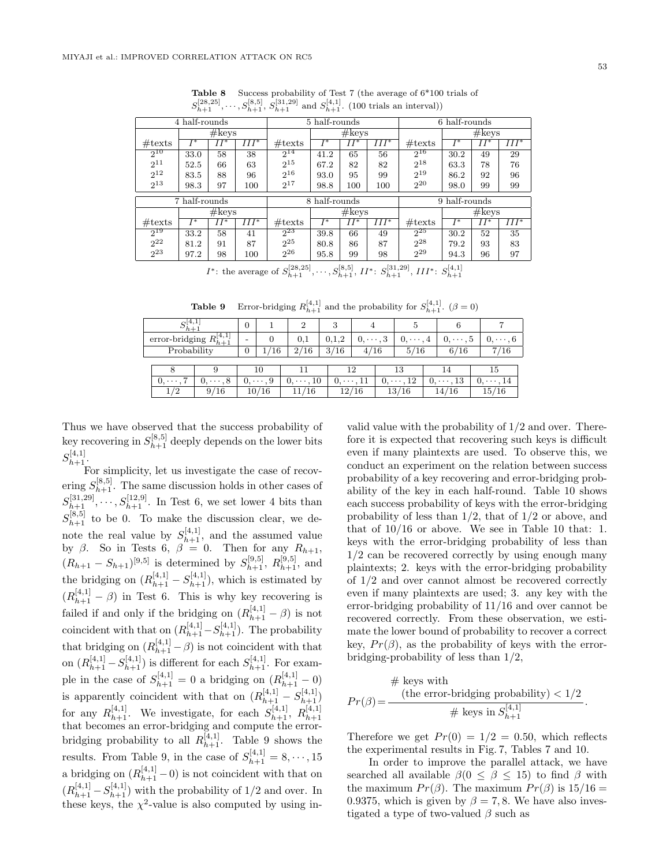|                  | 4 half-rounds |              |         |                  | 5 half-rounds |        |         |                  | 6 half-rounds |        |         |
|------------------|---------------|--------------|---------|------------------|---------------|--------|---------|------------------|---------------|--------|---------|
|                  |               | #keys        |         |                  |               | #keys  |         |                  |               | #keys  |         |
| $\#\text{texts}$ | $I^*$         | $\bar{II}^*$ | $III^*$ | $\#\text{texts}$ | $I^*$         | $II^*$ | $III^*$ | $\#\text{texts}$ | $I^*$         | $II^*$ | $III^*$ |
| $2^{10}$         | 33.0          | 58           | 38      | $2^{14}$         | 41.2          | 65     | 56      | $2^{16}$         | 30.2          | 49     | 29      |
| $2^{11}$         | 52.5          | 66           | 63      | $2^{15}$         | 67.2          | 82     | 82      | $2^{18}$         | 63.3          | 78     | 76      |
| $2^{12}$         | 83.5          | 88           | 96      | $2^{16}$         | 93.0          | 95     | 99      | $2^{19}$         | 86.2          | 92     | 96      |
| $2^{13}$         | 98.3          | 97           | 100     | $2^{17}$         | 98.8          | 100    | 100     | $2^{20}$         | 98.0          | 99     | 99      |
|                  | 7 half-rounds |              |         | 8 half-rounds    |               |        |         | 9 half-rounds    |               |        |         |
|                  |               | #keys        |         |                  |               | #keys  |         |                  |               | #keys  |         |
| $\#\text{texts}$ | T*            | II*          | $III^*$ | $\#\text{texts}$ | $I^*$         | $II^*$ | $III^*$ | $\#\text{texts}$ | $I^*$         | $II^*$ | III*    |
| 219              | 33.2          | 58           | 41      | $2^{23}$         | 39.8          | 66     | 49      | 225              | 30.2          | 52     | 35      |
| $2^{22}$         | 81.2          | 91           | 87      | $2^{25}$         | 80.8          | 86     | 87      | $2^{28}$         | 79.2          | 93     | 83      |
| $2^{23}$         | 97.2          | 98           | 100     | $2^{26}$         | 95.8          | 99     | 98      | $2^{29}$         | 94.3          | 96     | 97      |

**Table 8** Success probability of Test 7 (the average of  $6*100$  trials of  $S_{h+1}^{[28,25]},\ldots,S_{h+1}^{[8,5]},S_{h+1}^{[31,29]}$  and  $S_{h+1}^{[4,1]}$ . (100 trials an interval))

*I*<sup>\*</sup>: the average of  $S_{h+1}^{[28,25]}, \ldots, S_{h+1}^{[8,5]}, \Pi^*$ :  $S_{h+1}^{[31,29]}, \Pi I^*$ :  $S_{h+1}^{[4,1]}$ 

**Table 9** Error-bridging  $R_{h+1}^{[4,1]}$  and the probability for  $S_{h+1}^{[4,1]}$ .  $(\beta = 0)$ 

| $h+$           |                 | $\overline{0}$ |                       | 2                     | 3        |              |     |               |    |               |    |               |
|----------------|-----------------|----------------|-----------------------|-----------------------|----------|--------------|-----|---------------|----|---------------|----|---------------|
| error-bridging | $h + 1$         |                |                       | 0.1                   | 0.1.2    | $0,\cdots,3$ |     | $0, \cdots$   |    | $0,\cdots,5$  |    | $0, \cdots$   |
| Probability    |                 | 0              | 16                    | 2/16                  | 3/16     |              | ′16 | 5/<br>′16     |    | 6/16          |    | ′16           |
|                |                 |                |                       |                       |          |              |     |               |    |               |    |               |
|                |                 |                | 10                    |                       |          | 12           |     | 13            |    |               |    | 15            |
| U,             | , 8<br>$\cdots$ |                | $\cdot$ 9<br>$\cdots$ | .10<br>U,<br>$\cdots$ | $\cdots$ |              | U,  | $\cdots$ , 12 | U, | $\cdots$ , 13 | U, | $\cdots$ . 14 |
| /2             | 9/16            |                | 10/16                 | 11/16                 |          | 12/16        |     | 13/16         |    | 14/16         |    | 15/16         |

Thus we have observed that the success probability of key recovering in  $S_{h+1}^{[8,5]}$  deeply depends on the lower bits  $S_{h+1}^{[4,1]}.$ 

For simplicity, let us investigate the case of recovering  $S_{h+1}^{[8,5]}$ . The same discussion holds in other cases of  $S_{h+1}^{[31,29]}, \cdots, S_{h+1}^{[12,9]}$ . In Test 6, we set lower 4 bits than  $S_{h+1}^{[8,5]}$  to be 0. To make the discussion clear, we denote the real value by  $S_{h+1}^{[4,1]}$ , and the assumed value by  $\beta$ . So in Tests 6,  $\beta = 0$ . Then for any  $R_{h+1}$ ,  $(R_{h+1} - S_{h+1})^{[9,5]}$  is determined by  $S_{h+1}^{[9,5]}$ ,  $R_{h+1}^{[9,5]}$ , and the bridging on  $(R_{h+1}^{[4,1]} - S_{h+1}^{[4,1]}),$  which is estimated by  $(R_{h+1}^{[4,1]} - \beta)$  in Test 6. This is why key recovering is failed if and only if the bridging on  $(R_{h+1}^{[4,1]} - \beta)$  is not coincident with that on  $(R_{h+1}^{[4,1]} - S_{h+1}^{[4,1]})$ . The probability that bridging on  $(R_{h+1}^{[4,1]} - \beta)$  is not coincident with that on  $(R_{h+1}^{[4,1]} - S_{h+1}^{[4,1]} )$  is different for each  $S_{h+1}^{[4,1]}$ . For example in the case of  $S_{h+1}^{[4,1]} = 0$  a bridging on  $(R_{h+1}^{[4,1]} - 0)$ is apparently coincident with that on  $(R_{h+1}^{[4,1]} - S_{h+1}^{[4,1]})$ for any  $R_{h+1}^{[4,1]}$ . We investigate, for each  $S_{h+1}^{[4,1]}$ ,  $R_{h+1}^{[4,1]}$ <br>that becomes an error-bridging and compute the errorbridging probability to all  $R_{h+1}^{[4,1]}$ . Table 9 shows the results. From Table 9, in the case of  $S_{h+1}^{[4,1]} = 8, \cdots, 15$ a bridging on  $(R_{h+1}^{[4,1]}-0)$  is not coincident with that on  $(R_{h+1}^{[4,1]} - S_{h+1}^{[4,1]})$  with the probability of 1/2 and over. In these keys, the  $\chi^2$ -value is also computed by using in-

valid value with the probability of 1/2 and over. Therefore it is expected that recovering such keys is difficult even if many plaintexts are used. To observe this, we conduct an experiment on the relation between success probability of a key recovering and error-bridging probability of the key in each half-round. Table 10 shows each success probability of keys with the error-bridging probability of less than  $1/2$ , that of  $1/2$  or above, and that of 10/16 or above. We see in Table 10 that: 1. keys with the error-bridging probability of less than 1/2 can be recovered correctly by using enough many plaintexts; 2. keys with the error-bridging probability of 1/2 and over cannot almost be recovered correctly even if many plaintexts are used; 3. any key with the error-bridging probability of 11/16 and over cannot be recovered correctly. From these observation, we estimate the lower bound of probability to recover a correct key,  $Pr(\beta)$ , as the probability of keys with the errorbridging-probability of less than 1/2,

# keys with  
\n
$$
Pr(\beta) = \frac{\text{(the error-bridging probability)} < 1/2}{\text{# keys in } S_{h+1}^{[4,1]}}.
$$

Therefore we get  $Pr(0) = 1/2 = 0.50$ , which reflects the experimental results in Fig. 7, Tables 7 and 10.

In order to improve the parallel attack, we have searched all available  $\beta(0 \leq \beta \leq 15)$  to find  $\beta$  with the maximum  $Pr(\beta)$ . The maximum  $Pr(\beta)$  is  $15/16 =$ 0.9375, which is given by  $\beta = 7, 8$ . We have also investigated a type of two-valued  $\beta$  such as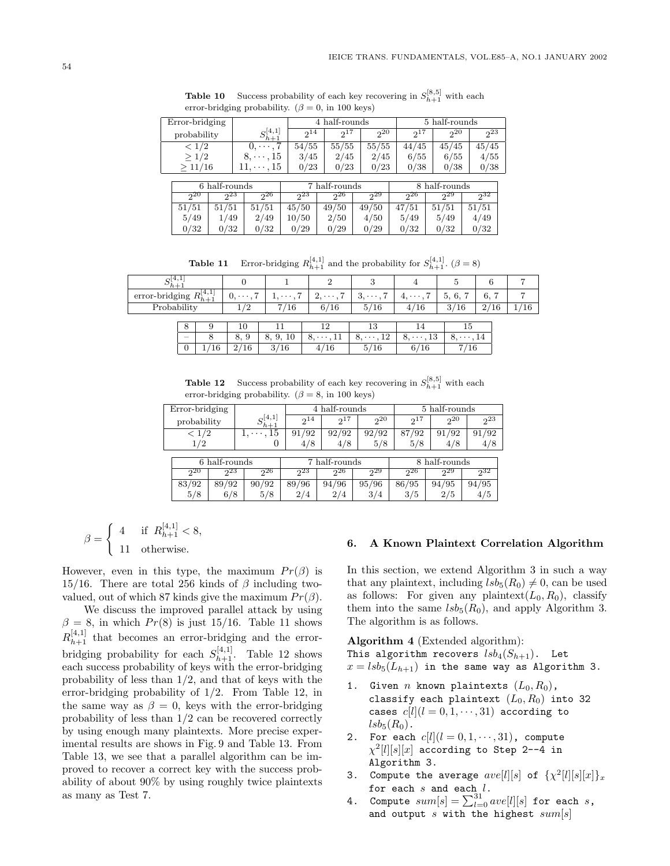|                |               |                         | 4 half-rounds |               |          |               |               |                |  |  |
|----------------|---------------|-------------------------|---------------|---------------|----------|---------------|---------------|----------------|--|--|
| Error-bridging |               |                         |               |               |          |               | 5 half-rounds |                |  |  |
| probability    |               | $\sigma$ [4,1]<br>$h+1$ | 214           | $2^{17}$      | 20       | $2^{17}$      | 20            | 2 <sub>3</sub> |  |  |
| < 1/2          |               |                         | 54/55         | 55/55         | 55/55    | 44/45         | 45/45         | 45/45          |  |  |
| $\geq 1/2$     |               | 8.<br>. 15<br>$\cdots$  | 3/45          | 2/45          | 2/45     | 6/55          | 6/55          | 4/55           |  |  |
| >11/16         |               | . 15                    | 0/23          | 0/23          | 0/23     | 0/38          | 0/38          | 0/38           |  |  |
|                |               |                         |               |               |          |               |               |                |  |  |
|                | 6 half-rounds |                         |               | 7 half-rounds |          | 8 half-rounds |               |                |  |  |
| 220            | 223           | 26                      | 223           | $2^{26}$      | $2^{29}$ | $2^{26}$      | $2^{29}$      | 232            |  |  |

51/51 51/51 51/51 45/50 49/50 49/50 47/51 51/51 51/51 5/49 1/49 2/49 10/50 2/50 4/50 5/49 5/49 4/49  $0/32$   $0/32$   $0/32$   $0/29$   $0/29$   $0/29$   $0/32$   $0/32$   $0/32$   $0/32$ 

**Table 10** Success probability of each key recovering in  $S_{h+1}^{[8,5]}$  with each error-bridging probability. ( $\beta = 0$ , in 100 keys)

**Table 11** Error-bridging  $R_{h+1}^{[4,1]}$  and the probability for  $S_{h+1}^{[4,1]}$ . ( $\beta = 8$ )

| 52 L<br>$\sim$<br>$n+$                                                 |                     |                      |                                        | ບ                                |                     | $\overline{\phantom{0}}$    | O                              |  |
|------------------------------------------------------------------------|---------------------|----------------------|----------------------------------------|----------------------------------|---------------------|-----------------------------|--------------------------------|--|
| $D^{[4,1]}$<br>$\cdot$ $\cdot$<br>error-bridging<br>$\mathbf{u}_{h+1}$ | -<br>$\cdots$<br>v, | -<br>$\cdots$<br>. . | $\overline{ }$<br>$\cdots$<br><u>.</u> | $\overline{ }$<br>$\cdots$<br>O. | -<br>$\cdots$<br>I. | -<br>$\sqrt{2}$<br>υ,<br>ν, | $\sim$<br>$\overline{ }$<br>o, |  |
| $\cdots$<br>$11.6$ h $11.7$                                            |                     | ΙU                   | /16<br>6                               | ∽<br>16<br>ь.<br>U /             | $\sqrt{ }$<br>16    | ີ<br>$\sim$<br>10           | 16<br>$\prime$ -<br>∸          |  |
|                                                                        |                     |                      |                                        |                                  |                     |                             |                                |  |

| О                        |    |                     |         |                                           |                             |      |  |
|--------------------------|----|---------------------|---------|-------------------------------------------|-----------------------------|------|--|
| $\overline{\phantom{a}}$ |    | 8.                  |         | $9 \mid 8, 9, 10 \mid 8, \cdots, 11 \mid$ | $8, \cdots, 12$ $8, \cdots$ | 13 l |  |
|                          | 16 | 16<br>$\mathcal{D}$ | $-2/16$ |                                           |                             |      |  |

**Table 12** Success probability of each key recovering in  $S_{h+1}^{[8,5]}$  with each error-bridging probability. ( $\beta = 8$ , in 100 keys)

| Error-bridging |               |                |                          | 4 half-rounds |               | 5 half-rounds |               |          |          |  |
|----------------|---------------|----------------|--------------------------|---------------|---------------|---------------|---------------|----------|----------|--|
|                | probability   |                | $_{\rm C}[4,1]$<br>$h+1$ | $2^{14}$      | $2^{17}$      | $2^{20}$      | $2^{17}$      | $2^{20}$ | $2^{23}$ |  |
| < 1/2          |               | 15<br>$\cdots$ | 91/92                    | 92/92         | 92/92         | 87/92         | 91/92         | 91/92    |          |  |
|                | 1/2           |                | 0                        | 4/8           | 4/8           | 5/8           | 5/8           | 4/8      | 4/8      |  |
|                |               |                |                          |               |               |               |               |          |          |  |
|                | 6 half-rounds |                |                          |               | 7 half-rounds |               | 8 half-rounds |          |          |  |
|                | 20            | 223            | 226                      | 223           | 226           | 229           | 226           | 229      | 232      |  |
|                | 83/92         | 89/92          | 90/92                    | 89/96         | 94/96         | 95/96         | 86/95         | 94/95    | 94/95    |  |

 $5/8$  6/8 5/8 2/4 2/4 3/4 3/5 2/5 4/5

$$
\beta = \begin{cases} 4 & \text{if } R_{h+1}^{[4,1]} < 8, \\ 11 & \text{otherwise.} \end{cases}
$$

However, even in this type, the maximum  $Pr(\beta)$  is 15/16. There are total 256 kinds of  $\beta$  including twovalued, out of which 87 kinds give the maximum  $Pr(\beta)$ .

We discuss the improved parallel attack by using  $\beta = 8$ , in which  $Pr(8)$  is just 15/16. Table 11 shows  $R_{h+1}^{[4,1]}$  that becomes an error-bridging and the errorbridging probability for each  $S_{h+1}^{[4,1]}$ . Table 12 shows each success probability of keys with the error-bridging probability of less than 1/2, and that of keys with the error-bridging probability of 1/2. From Table 12, in the same way as  $\beta = 0$ , keys with the error-bridging probability of less than 1/2 can be recovered correctly by using enough many plaintexts. More precise experimental results are shows in Fig. 9 and Table 13. From Table 13, we see that a parallel algorithm can be improved to recover a correct key with the success probability of about 90% by using roughly twice plaintexts as many as Test 7.

#### **6. A Known Plaintext Correlation Algorithm**

In this section, we extend Algorithm 3 in such a way that any plaintext, including  $lsb_5(R_0) \neq 0$ , can be used as follows: For given any plaintext $(L_0, R_0)$ , classify them into the same  $lsb_5(R_0)$ , and apply Algorithm 3. The algorithm is as follows.

**Algorithm 4** (Extended algorithm): This algorithm recovers  $lsb_4(S_{h+1})$ . Let  $x = lsb_5(L_{h+1})$  in the same way as Algorithm 3.

- 1. Given  $n$  known plaintexts  $(L_0, R_0)$ , classify each plaintext  $(L_0, R_0)$  into 32 cases  $c[l](l = 0, 1, \dots, 31)$  according to  $lsb_5(R_0)$ .
- 2. For each  $c[l](l = 0, 1, \dots, 31)$ , compute  $\chi^2[l][s][x]$  according to Step 2--4 in Algorithm 3.
- 3. Compute the average  $ave[l][s]$  of  $\{\chi^2[l][s][x]\}_x$ for each  $s$  and each  $l$ .
- 4. Compute  $sum[s] = \sum_{l=0}^{31} ave[l][s]$  for each  $s$ , and output s with the highest  $sum[s]$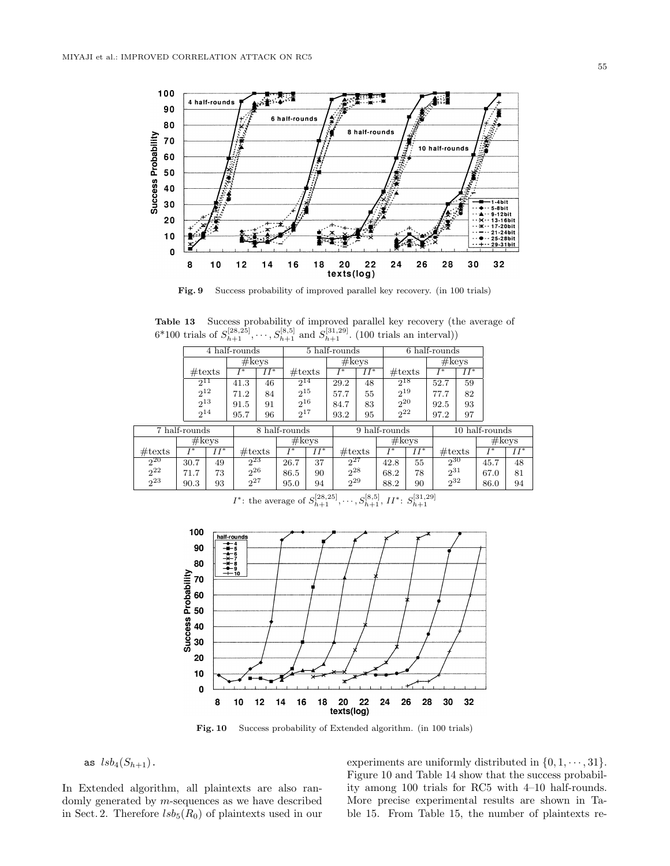

**Fig. 9** Success probability of improved parallel key recovery. (in 100 trials)

**Table 13** Success probability of improved parallel key recovery (the average of  $6*100$  trials of  $S_{h+1}^{[28,25]}, \dots, S_{h+1}^{[8,5]}$  and  $S_{h+1}^{[31,29]}$ . (100 trials an interval))

|                  |                  |        | 4 half-rounds    |        |                  |        | 5 half-rounds    |        |                  |                   | 6 half-rounds    |        |                |        |
|------------------|------------------|--------|------------------|--------|------------------|--------|------------------|--------|------------------|-------------------|------------------|--------|----------------|--------|
|                  |                  |        | $\#\text{keys}$  |        |                  |        | $\#\text{keys}$  |        |                  |                   | #keys            |        |                |        |
|                  | $\#\text{texts}$ |        | T*               | $II^*$ | $\#\text{texts}$ |        | T*               | $II^*$ | $\#\text{texts}$ |                   | T*               | $II^*$ |                |        |
|                  | $2^{11}$         |        | 41.3             | 46     | $2^{14}$         |        | 29.2             | 48     | $2^{18}$         |                   | 52.7             | 59     |                |        |
|                  | $2^{12}$         |        | 71.2             | 84     | $2^{15}$         |        | 57.7             | 55     | $2^{19}$         |                   | 77.7             | 82     |                |        |
|                  | $2^{13}$         |        | 91.5             | 91     | $2^{16}$         |        | 84.7             | 83     | $2^{20}$         |                   | 92.5             | 93     |                |        |
|                  | $2^{14}$         |        | 95.7             | 96     | $2^{17}$         |        | 93.2             | 95     | $2^{22}$         |                   | 97.2             | 97     |                |        |
|                  | 7 half-rounds    |        |                  |        | 8 half-rounds    |        |                  |        | 9 half-rounds    |                   |                  |        | 10 half-rounds |        |
|                  |                  |        |                  |        |                  |        |                  |        |                  |                   |                  |        |                |        |
|                  | #keys            |        |                  |        | #keys            |        |                  |        | #keys            |                   |                  |        |                | #keys  |
| $\#\text{texts}$ |                  | $II^*$ | $\#\text{texts}$ |        |                  | $II^*$ | $\#\text{texts}$ |        |                  | $\overline{II}^*$ | $\#\text{texts}$ |        |                | $II^*$ |

2<sup>22</sup> 71.7 73 2<sup>26</sup> 86.5 90 2<sup>28</sup> 68.2 78 2<sup>31</sup> 67.0 81 2<sup>23</sup> 90.3 93 2<sup>27</sup> 95.0 94 2<sup>29</sup> 88.2 90 2<sup>32</sup> 86.0 94

2<sup>20</sup> 30.7 49 2<sup>23</sup> 26.7 37 2<sup>27</sup> 42.8 55 2<sup>30</sup> 45.7 48

*I*\*: the average of 
$$
S_{h+1}^{[28,25]}, \dots, S_{h+1}^{[8,5]}, II^*
$$
:  $S_{h+1}^{[31,29]}$ 



**Fig. 10** Success probability of Extended algorithm. (in 100 trials)

as  $lsb_4(S_{h+1})$ .

In Extended algorithm, all plaintexts are also randomly generated by  $m$ -sequences as we have described in Sect. 2. Therefore  $lsb_5(R_0)$  of plaintexts used in our

experiments are uniformly distributed in  $\{0, 1, \dots, 31\}$ . Figure 10 and Table 14 show that the success probability among 100 trials for RC5 with 4–10 half-rounds. More precise experimental results are shown in Table 15. From Table 15, the number of plaintexts re-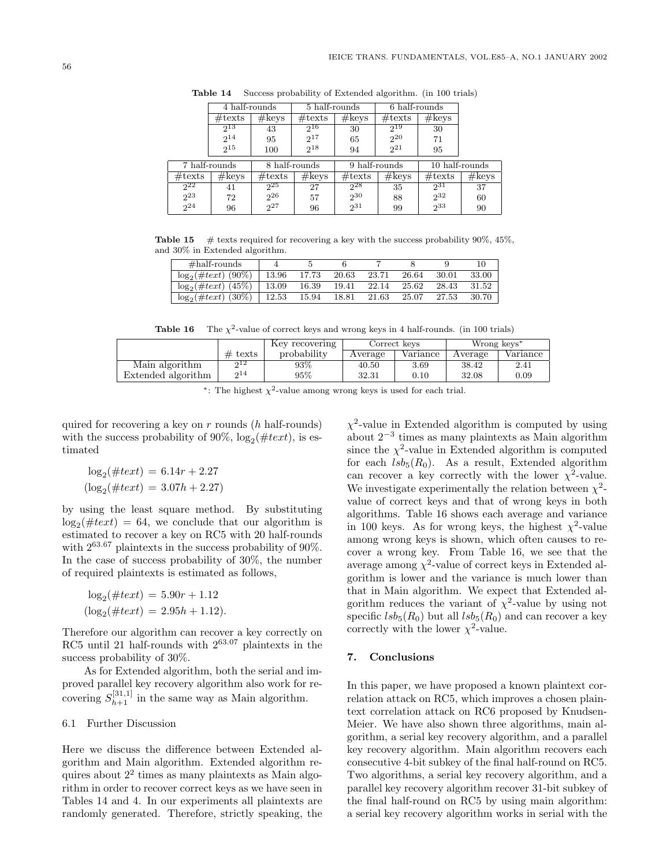|                  | 4 half-rounds    |                  | 5 half-rounds    |                  | 6 half-rounds    |                  |                |
|------------------|------------------|------------------|------------------|------------------|------------------|------------------|----------------|
|                  | $\#\text{texts}$ | $\#\text{keys}$  | $\#\text{texts}$ | #keys            | $\#\text{texts}$ | #keys            |                |
|                  | 213              | 43               | $2^{16}$         | 30               | 219              | 30               |                |
|                  | $2^{14}$         | 95               | $2^{17}$         | 65               | $2^{20}$         | 71               |                |
|                  | $2^{15}$         | 100              | $2^{18}$         | 94               | $2^{21}$         | 95               |                |
| 7 half-rounds    |                  | 8 half-rounds    |                  |                  | 9 half-rounds    |                  | 10 half-rounds |
| $\#\text{texts}$ | $\#\text{keys}$  | $\#\text{texts}$ | #keys            | $\#\text{texts}$ | #keys            | $\#\text{texts}$ | #keys          |
| $2^{22}$         | 41               | $2^{25}$         | 27               | 228              | 35               | $2^{31}$         | 37             |
| $2^{23}$         | 72               | $2^{26}$         | 57               | $2^{30}$         | 88               | $2^{32}$         | 60             |
| $2^{24}$         | 96               | $2^{27}$         | 96               | $2^{31}$         | 99               | 233              | 90             |

**Table 14** Success probability of Extended algorithm. (in 100 trials)

**Table 15** # texts required for recovering a key with the success probability  $90\%$ ,  $45\%$ , and 30% in Extended algorithm.

| $\#half$ -rounds          |       |       |       |       |       |       | 10    |
|---------------------------|-------|-------|-------|-------|-------|-------|-------|
| $\log_2(\#text{t})$ (90%) | 13.96 | 17.73 | 20.63 | 23.71 | 26.64 | 30.01 | 33.00 |
| $\log_2(\#text{t})$ (45%) | 13.09 | 16.39 | 19.41 | 22.14 | 25.62 | 28.43 | 31.52 |
| $\log_2(\#text{t})$ (30%) | 12.53 | 15.94 | 18.81 | 21.63 | 25.07 | 27.53 | 30.70 |

**Table 16** The  $\chi^2$ -value of correct keys and wrong keys in 4 half-rounds. (in 100 trials)

|                    |           | Key recovering |         | Correct kevs | Wrong keys <sup>*</sup> |          |
|--------------------|-----------|----------------|---------|--------------|-------------------------|----------|
|                    | $#$ texts | probability    | Average | Variance     | Average                 | Variance |
| Main algorithm     | ດ12       | 93%            | 40.50   | 3.69         | 38.42                   | 2.41     |
| Extended algorithm | 214       | 95%            | 32.31   | 0.10         | 32.08                   | 0.09     |

| *: The highest $\chi^2$ -value among wrong keys is used for each trial. |  |  |  |  |  |  |  |  |  |  |  |
|-------------------------------------------------------------------------|--|--|--|--|--|--|--|--|--|--|--|
|-------------------------------------------------------------------------|--|--|--|--|--|--|--|--|--|--|--|

quired for recovering a key on  $r$  rounds (h half-rounds) with the success probability of 90%,  $log_2(\#text)$ , is estimated

$$
log_2(\#text) = 6.14r + 2.27
$$
  
( $log_2(\#text) = 3.07h + 2.27$ )

by using the least square method. By substituting  $\log_2(\#text{t} x t) = 64$ , we conclude that our algorithm is estimated to recover a key on RC5 with 20 half-rounds with 263.<sup>67</sup> plaintexts in the success probability of 90%. In the case of success probability of 30%, the number of required plaintexts is estimated as follows,

$$
log_2(\#text) = 5.90r + 1.12
$$
  
( $log_2(\#text) = 2.95h + 1.12$ ).

Therefore our algorithm can recover a key correctly on RC5 until 21 half-rounds with  $2^{63.07}$  plaintexts in the success probability of 30%.

As for Extended algorithm, both the serial and improved parallel key recovery algorithm also work for recovering  $S_{h+1}^{[31,1]}$  in the same way as Main algorithm.

#### 6.1 Further Discussion

Here we discuss the difference between Extended algorithm and Main algorithm. Extended algorithm requires about  $2<sup>2</sup>$  times as many plaintexts as Main algorithm in order to recover correct keys as we have seen in Tables 14 and 4. In our experiments all plaintexts are randomly generated. Therefore, strictly speaking, the

 $\chi^2$ -value in Extended algorithm is computed by using about  $2^{-3}$  times as many plaintexts as Main algorithm since the  $\chi^2$ -value in Extended algorithm is computed for each  $lsb_5(R_0)$ . As a result, Extended algorithm can recover a key correctly with the lower  $\chi^2$ -value. We investigate experimentally the relation between  $\chi^2$ value of correct keys and that of wrong keys in both algorithms. Table 16 shows each average and variance in 100 keys. As for wrong keys, the highest  $\chi^2$ -value among wrong keys is shown, which often causes to recover a wrong key. From Table 16, we see that the average among  $\chi^2$ -value of correct keys in Extended algorithm is lower and the variance is much lower than that in Main algorithm. We expect that Extended algorithm reduces the variant of  $\chi^2$ -value by using not specific  $lsb_5(R_0)$  but all  $lsb_5(R_0)$  and can recover a key correctly with the lower  $\chi^2$ -value.

## **7. Conclusions**

In this paper, we have proposed a known plaintext correlation attack on RC5, which improves a chosen plaintext correlation attack on RC6 proposed by Knudsen-Meier. We have also shown three algorithms, main algorithm, a serial key recovery algorithm, and a parallel key recovery algorithm. Main algorithm recovers each consecutive 4-bit subkey of the final half-round on RC5. Two algorithms, a serial key recovery algorithm, and a parallel key recovery algorithm recover 31-bit subkey of the final half-round on RC5 by using main algorithm: a serial key recovery algorithm works in serial with the